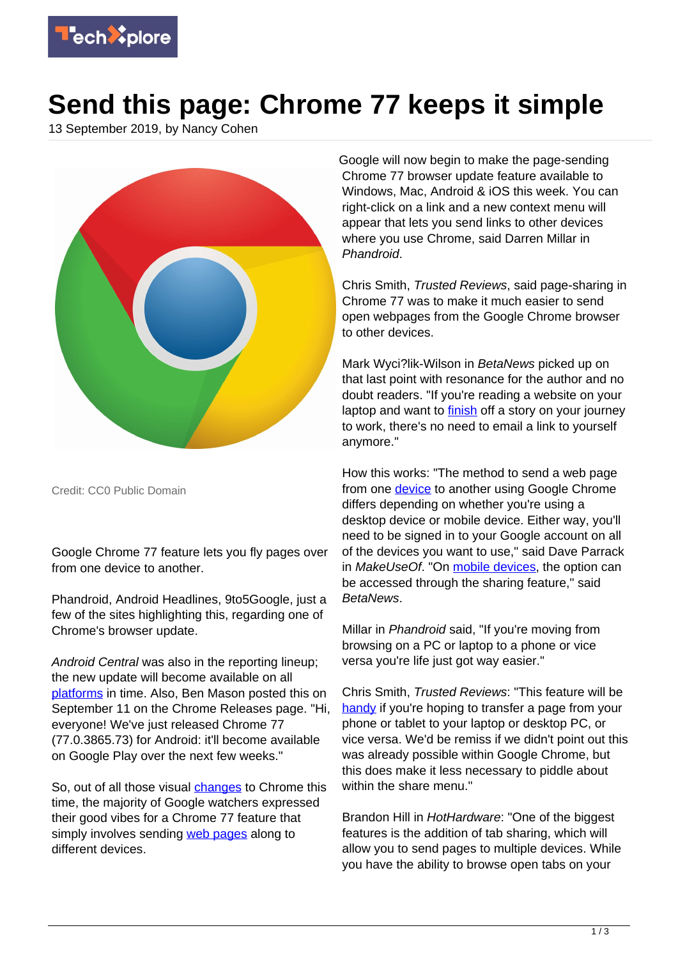

## **Send this page: Chrome 77 keeps it simple**

13 September 2019, by Nancy Cohen



Credit: CC0 Public Domain

Google Chrome 77 feature lets you fly pages over from one device to another.

Phandroid, Android Headlines, 9to5Google, just a few of the sites highlighting this, regarding one of Chrome's browser update.

Android Central was also in the reporting lineup; the new update will become available on all [platforms](https://www.androidcentral.com/chrome-77-now-rolling-out-lets-you-share-pages-across-your-devices) in time. Also, Ben Mason posted this on September 11 on the Chrome Releases page. "Hi, everyone! We've just released Chrome 77 (77.0.3865.73) for Android: it'll become available on Google Play over the next few weeks."

So, out of all those visual *[changes](https://phandroid.com/2019/09/11/send-web-pages-to-devices-via-google-chrome/)* to Chrome this time, the majority of Google watchers expressed their good vibes for a Chrome 77 feature that simply involves sending [web pages](https://techxplore.com/tags/web+pages/) along to different devices.

Google will now begin to make the page-sending Chrome 77 browser update feature available to Windows, Mac, Android & iOS this week. You can right-click on a link and a new context menu will appear that lets you send links to other devices where you use Chrome, said Darren Millar in Phandroid.

Chris Smith, Trusted Reviews, said page-sharing in Chrome 77 was to make it much easier to send open webpages from the Google Chrome browser to other devices.

Mark Wyci?lik-Wilson in BetaNews picked up on that last point with resonance for the author and no doubt readers. "If you're reading a website on your laptop and want to **finish** off a story on your journey to work, there's no need to email a link to yourself anymore."

How this works: "The method to send a web page from one **device** to another using Google Chrome differs depending on whether you're using a desktop device or mobile device. Either way, you'll need to be signed in to your Google account on all of the devices you want to use," said Dave Parrack in MakeUseOf. "On [mobile devices,](https://techxplore.com/tags/mobile+devices/) the option can be accessed through the sharing feature," said BetaNews.

Millar in Phandroid said, "If you're moving from browsing on a PC or laptop to a phone or vice versa you're life just got way easier."

Chris Smith, Trusted Reviews: "This feature will be [handy](https://www.trustedreviews.com/news/google-chrome-update-simplifies-sharing-pages-devices-3937929) if you're hoping to transfer a page from your phone or tablet to your laptop or desktop PC, or vice versa. We'd be remiss if we didn't point out this was already possible within Google Chrome, but this does make it less necessary to piddle about within the share menu."

Brandon Hill in HotHardware: "One of the biggest features is the addition of tab sharing, which will allow you to send pages to multiple devices. While you have the ability to browse open tabs on your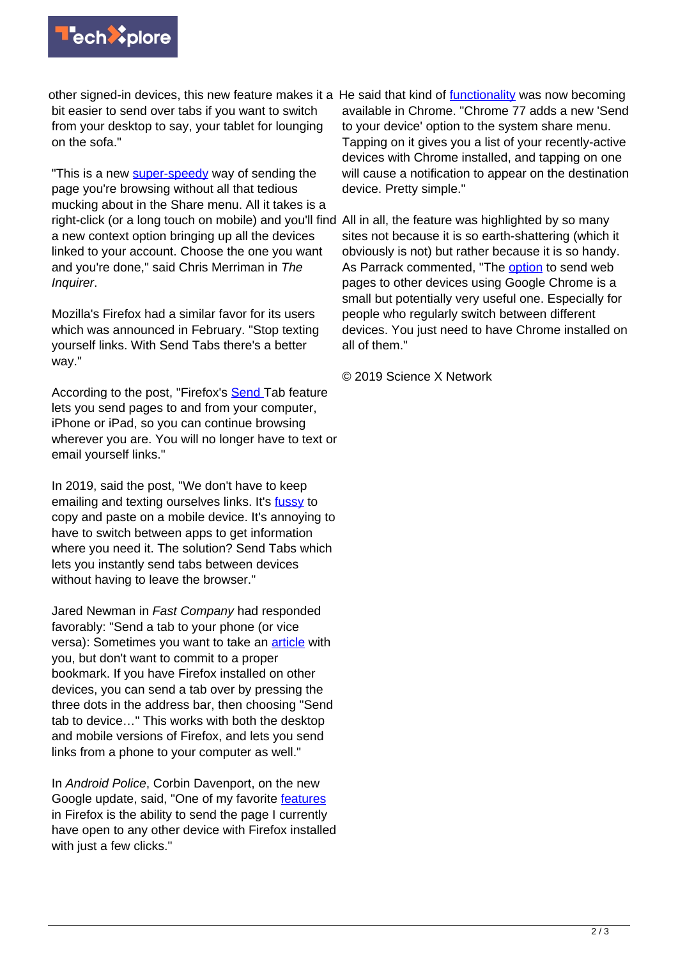

bit easier to send over tabs if you want to switch from your desktop to say, your tablet for lounging on the sofa."

"This is a new [super-speedy](https://www.theinquirer.net/inquirer/news/3081440/chrome-77-released) way of sending the page you're browsing without all that tedious mucking about in the Share menu. All it takes is a right-click (or a long touch on mobile) and you'll find All in all, the feature was highlighted by so many a new context option bringing up all the devices linked to your account. Choose the one you want and you're done," said Chris Merriman in The Inquirer.

Mozilla's Firefox had a similar favor for its users which was announced in February. "Stop texting yourself links. With Send Tabs there's a better way."

According to the post, "Firefox's [Send T](https://support.mozilla.org/en-US/kb/send-tab-firefox-desktop-other-devices)ab feature lets you send pages to and from your computer, iPhone or iPad, so you can continue browsing wherever you are. You will no longer have to text or email yourself links."

In 2019, said the post, "We don't have to keep emailing and texting ourselves links. It's [fussy](https://blog.mozilla.org/firefox/send-tabs-a-better-way/) to copy and paste on a mobile device. It's annoying to have to switch between apps to get information where you need it. The solution? Send Tabs which lets you instantly send tabs between devices without having to leave the browser."

Jared Newman in Fast Company had responded favorably: "Send a tab to your phone (or vice versa): Sometimes you want to take an **article** with you, but don't want to commit to a proper bookmark. If you have Firefox installed on other devices, you can send a tab over by pressing the three dots in the address bar, then choosing "Send tab to device…" This works with both the desktop and mobile versions of Firefox, and lets you send links from a phone to your computer as well."

In Android Police, Corbin Davenport, on the new Google update, said, "One of my favorite [features](https://techxplore.com/tags/features/) in Firefox is the ability to send the page I currently have open to any other device with Firefox installed with just a few clicks."

other signed-in devices, this new feature makes it a He said that kind of [functionality](https://www.androidpolice.com/2019/09/12/chrome-77/) was now becoming available in Chrome. "Chrome 77 adds a new 'Send to your device' option to the system share menu. Tapping on it gives you a list of your recently-active devices with Chrome installed, and tapping on one will cause a notification to appear on the destination device. Pretty simple."

> sites not because it is so earth-shattering (which it obviously is not) but rather because it is so handy. As Parrack commented, "The [option](https://www.makeuseof.com/tag/chrome-send-web-pages-to-other-devices/) to send web pages to other devices using Google Chrome is a small but potentially very useful one. Especially for people who regularly switch between different devices. You just need to have Chrome installed on all of them."

© 2019 Science X Network